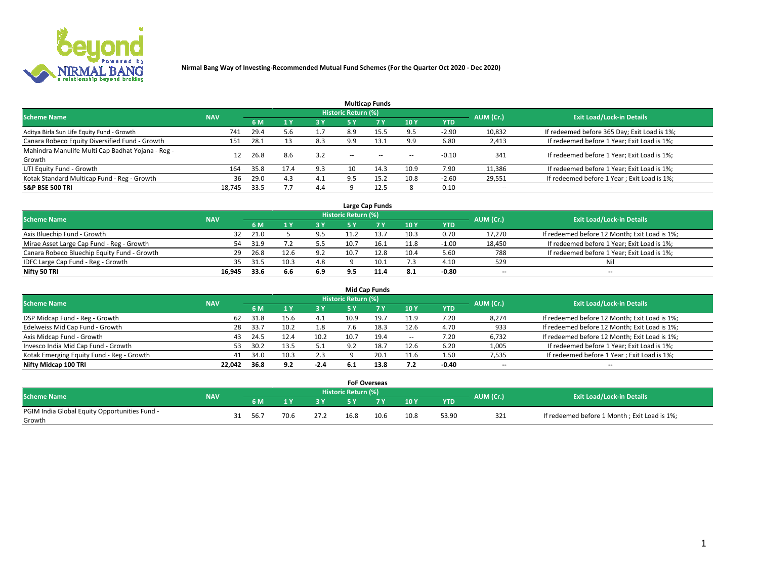

|                                                   |            |      |       |            |                            | <b>Multicap Funds</b> |       |            |                          |                                              |
|---------------------------------------------------|------------|------|-------|------------|----------------------------|-----------------------|-------|------------|--------------------------|----------------------------------------------|
| <b>Scheme Name</b>                                | <b>NAV</b> |      |       |            | <b>Historic Return (%)</b> |                       |       |            | AUM (Cr.)                | <b>Exit Load/Lock-in Details</b>             |
|                                                   |            | 6 M  | $A$ Y | <b>3 Y</b> | 5 Y                        | 7 <sub>V</sub>        | 10Y   | <b>YTD</b> |                          |                                              |
| Aditya Birla Sun Life Equity Fund - Growth        | 741        | 29.4 | 5.6   | 1.7        | 8.9                        | 15.5                  | 9.5   | $-2.90$    | 10,832                   | If redeemed before 365 Day; Exit Load is 1%; |
| Canara Robeco Equity Diversified Fund - Growth    | 151        | 28.1 | 13    | 8.3        | 9.9                        | 13.1                  | 9.9   | 6.80       | 2,413                    | If redeemed before 1 Year; Exit Load is 1%;  |
| Mahindra Manulife Multi Cap Badhat Yojana - Reg - | 12         | 26.8 | 8.6   | 3.2        |                            |                       |       | $-0.10$    | 341                      | If redeemed before 1 Year; Exit Load is 1%;  |
| Growth                                            |            |      |       |            | $\sim$                     | $- -$                 | $- -$ |            |                          |                                              |
| UTI Equity Fund - Growth                          | 164        | 35.8 | 17.4  | 9.3        | 10                         | 14.3                  | 10.9  | 7.90       | 11,386                   | If redeemed before 1 Year; Exit Load is 1%;  |
| Kotak Standard Multicap Fund - Reg - Growth       | 36         | 29.0 | 4.3   | 4.1        | 9.5                        | 15.2                  | 10.8  | $-2.60$    | 29,551                   | If redeemed before 1 Year; Exit Load is 1%;  |
| <b>S&amp;P BSE 500 TRI</b>                        | 18.745     | 33.5 |       | 4.4        |                            | 12.5                  |       | 0.10       | $\overline{\phantom{a}}$ | $-$                                          |

|                                             |            |      |      |     |                     | Large Cap Funds |      |            |           |                                               |
|---------------------------------------------|------------|------|------|-----|---------------------|-----------------|------|------------|-----------|-----------------------------------------------|
| <b>Scheme Name</b>                          | <b>NAV</b> |      |      |     | Historic Return (%) |                 |      |            | AUM (Cr.) | <b>Exit Load/Lock-in Details</b>              |
|                                             |            | 6 M  |      | 3 Y | 5 ۷                 |                 | 10Y  | <b>YTD</b> |           |                                               |
| Axis Bluechip Fund - Growth                 | 32         | 21.0 |      | 9.5 |                     |                 | 10.3 | 0.70       | 17,270    | If redeemed before 12 Month; Exit Load is 1%; |
| Mirae Asset Large Cap Fund - Reg - Growth   | 54         | 31.9 |      | 5.5 | 10.7                |                 | 11.8 | $-1.00$    | 18,450    | If redeemed before 1 Year; Exit Load is 1%;   |
| Canara Robeco Bluechip Equity Fund - Growth | 29         | 26.8 |      | 9.2 | 10.7                | 12.8            | 10.4 | 5.60       | 788       | If redeemed before 1 Year; Exit Load is 1%;   |
| IDFC Large Cap Fund - Reg - Growth          | 35         | 31.5 | 10.3 | 4.8 |                     |                 | 7.3  | 4.10       | 529       | Nil                                           |
| Nifty 50 TRI                                | 16.945     | 33.6 | 6.6  | 6.9 |                     | 11.4            | 8.1  | $-0.80$    | $- -$     | $- -$                                         |

| <b>Mid Cap Funds</b>                      |            |      |      |         |                            |      |                          |         |           |                                               |  |  |
|-------------------------------------------|------------|------|------|---------|----------------------------|------|--------------------------|---------|-----------|-----------------------------------------------|--|--|
| <b>Scheme Name</b>                        | <b>NAV</b> |      |      |         | <b>Historic Return (%)</b> |      |                          |         | AUM (Cr.) | <b>Exit Load/Lock-in Details</b>              |  |  |
|                                           |            | 6 M  |      | 3 Y     | 5 Y                        |      | 10 Y                     | YTD     |           |                                               |  |  |
| DSP Midcap Fund - Reg - Growth            | 62         | 31.8 | 15.6 | 4.1     | 10.9                       | 19.7 | 11.9                     | 7.20    | 8,274     | If redeemed before 12 Month; Exit Load is 1%; |  |  |
| Edelweiss Mid Cap Fund - Growth           | 28         | 33.7 |      | 1.8     | 7.6                        | 18.3 | 12.6                     | 4.70    | 933       | If redeemed before 12 Month; Exit Load is 1%; |  |  |
| Axis Midcap Fund - Growth                 | 43         | 24.5 | 12.4 | 10.2    | 10.7                       | 19.4 | $\hspace{0.05cm} \cdots$ | 7.20    | 6,732     | If redeemed before 12 Month; Exit Load is 1%; |  |  |
| Invesco India Mid Cap Fund - Growth       | 53         | 30.2 | 13.5 | 51<br>ـ | 9.2                        | 18.7 | 12.6                     | 6.20    | 1,005     | If redeemed before 1 Year; Exit Load is 1%;   |  |  |
| Kotak Emerging Equity Fund - Reg - Growth | 41         | 34.0 | 10.3 | 2.3     |                            | 20.1 | 11.6                     | 1.50    | 7,535     | If redeemed before 1 Year; Exit Load is 1%;   |  |  |
| Nifty Midcap 100 TRI                      | 22.042     | 36.8 | 9.2  | $-2.4$  | 6.1                        | 13.8 | 7.2                      | $-0.40$ | $- -$     | --                                            |  |  |

|                                               |            |      |      |      | <b>FoF Overseas</b> |                |      |            |           |                                              |
|-----------------------------------------------|------------|------|------|------|---------------------|----------------|------|------------|-----------|----------------------------------------------|
| <b>Scheme Name</b>                            | <b>NAV</b> |      |      |      | Historic Return (%) |                |      |            | AUM (Cr.) | <b>Exit Load/Lock-in Details</b>             |
|                                               |            | 6 M  |      |      | <b>EV</b>           | 7 <sub>2</sub> | 10Y  | <b>YTD</b> |           |                                              |
| PGIM India Global Equity Opportunities Fund - |            | 56.7 | 70.6 | 27.2 | 16.8                | 10.6           | 10.8 | 53.90      | 321       | If redeemed before 1 Month; Exit Load is 1%; |
| Growth                                        |            |      |      |      |                     |                |      |            |           |                                              |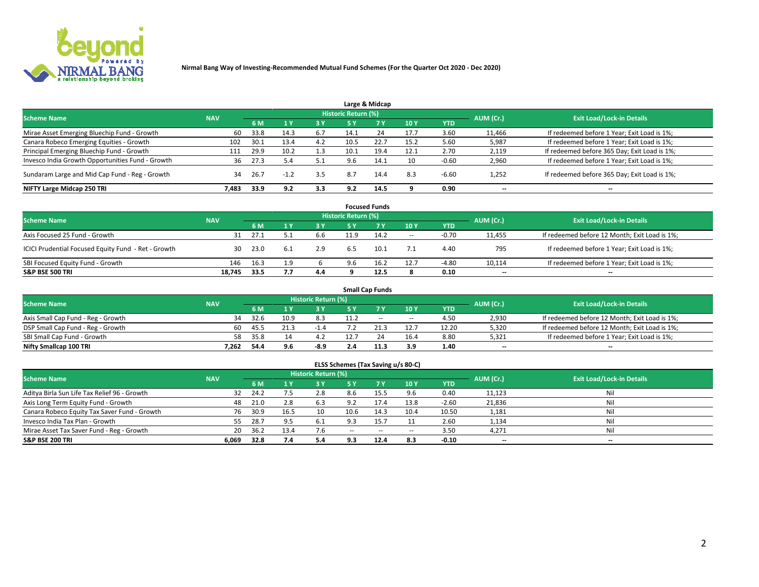

|                                                  |            |      |        |     |                     | Large & Midcap |      |            |                          |                                              |
|--------------------------------------------------|------------|------|--------|-----|---------------------|----------------|------|------------|--------------------------|----------------------------------------------|
| <b>Scheme Name</b>                               | <b>NAV</b> |      |        |     | Historic Return (%) |                |      |            | AUM (Cr.)                | <b>Exit Load/Lock-in Details</b>             |
|                                                  |            | 6 M  |        | 3 Y | <b>5 Y</b>          | 7Y             | 10Y  | <b>YTD</b> |                          |                                              |
| Mirae Asset Emerging Bluechip Fund - Growth      | 60         | 33.8 | 14.3   | 6.7 | 14.1                | 24             | 17.7 | 3.60       | 11,466                   | If redeemed before 1 Year; Exit Load is 1%;  |
| Canara Robeco Emerging Equities - Growth         | 102        | 30.1 | 13.4   | 4.2 | 10.5                | 22.7           | 15.2 | 5.60       | 5,987                    | If redeemed before 1 Year; Exit Load is 1%;  |
| Principal Emerging Bluechip Fund - Growth        | 111        | 29.9 | 10.2   | 1.3 | 10.1                | 19.4           | 12.1 | 2.70       | 2,119                    | If redeemed before 365 Day; Exit Load is 1%; |
| Invesco India Growth Opportunities Fund - Growth | 36         | 27.3 |        | 5.1 | 9.6                 | 14.1           | 10   | $-0.60$    | 2,960                    | If redeemed before 1 Year; Exit Load is 1%;  |
| Sundaram Large and Mid Cap Fund - Reg - Growth   | 34         | 26.7 | $-1.2$ | 3.5 | 8.7                 | 14.4           | 8.3  | $-6.60$    | 1,252                    | If redeemed before 365 Day; Exit Load is 1%; |
| NIFTY Large Midcap 250 TRI                       | 7.483      | 33.9 | 9.2    | 3.3 | 9.2                 | 14.5           |      | 0.90       | $\overline{\phantom{a}}$ | --                                           |

| <b>Focused Funds</b>                                |            |      |     |       |                            |           |       |            |                          |                                               |  |  |
|-----------------------------------------------------|------------|------|-----|-------|----------------------------|-----------|-------|------------|--------------------------|-----------------------------------------------|--|--|
| <b>Scheme Name</b>                                  | <b>NAV</b> |      |     |       | <b>Historic Return (%)</b> |           |       |            | AUM (Cr.)                | <b>Exit Load/Lock-in Details</b>              |  |  |
|                                                     |            | 6 M  |     | 73 Y. | 5 Y                        | <b>7Y</b> | 10 Y  | <b>YTD</b> |                          |                                               |  |  |
| Axis Focused 25 Fund - Growth                       | 31         | 27.1 | 5.1 | 6.6   | 11.9                       | 14.2      | $\!-$ | $-0.70$    | 11.455                   | If redeemed before 12 Month; Exit Load is 1%; |  |  |
| ICICI Prudential Focused Equity Fund - Ret - Growth | 30         | 23.0 | 6.1 | 2.9   | 6.5                        | 10.1      | 7.1   | 4.40       | 795                      | If redeemed before 1 Year; Exit Load is 1%;   |  |  |
| SBI Focused Equity Fund - Growth                    | 146        | 16.3 | 1.9 |       | 9.6                        | 16.2      | 12.7  | $-4.80$    | 10,114                   | If redeemed before 1 Year; Exit Load is 1%;   |  |  |
| <b>S&amp;P BSE 500 TRI</b>                          | 18.745     | 33.5 | 7.7 | 4.4   |                            | 12.5      | 8     | 0.10       | $\overline{\phantom{m}}$ | $- -$                                         |  |  |

|                                    |            |      |      |                     |     | <b>Small Cap Funds</b> |                          |       |           |                                               |
|------------------------------------|------------|------|------|---------------------|-----|------------------------|--------------------------|-------|-----------|-----------------------------------------------|
| <b>Scheme Name</b>                 | <b>NAV</b> |      |      | Historic Return (%) |     |                        |                          |       | AUM (Cr.) | <b>Exit Load/Lock-in Details</b>              |
|                                    |            | 6 M  |      | 3 Y                 |     |                        | 10Y                      | YTD   |           |                                               |
| Axis Small Cap Fund - Reg - Growth | 34         | 32.6 | 10.9 | 8.3                 |     | $- -$                  | $\overline{\phantom{a}}$ | 4.50  | 2,930     | If redeemed before 12 Month; Exit Load is 1%; |
| DSP Small Cap Fund - Reg - Growth  | 60         | 45.5 |      |                     |     |                        | 12.7                     | 12.20 | 5,320     | If redeemed before 12 Month; Exit Load is 1%; |
| SBI Small Cap Fund - Growth        | 58         | 35.8 |      |                     |     |                        | 16.4                     | 8.80  | 5,321     | If redeemed before 1 Year; Exit Load is 1%;   |
| Nifty Smallcap 100 TRI             | 7.262      | 54.4 | 9.6  | -8.9                | 2.4 |                        | 3.9                      | 1.40  | $-$       | $\overline{\phantom{a}}$                      |

| <b>Scheme Name</b>                           | <b>NAV</b> |      |      | <b>Historic Return (%)</b> |               |                |                          |            | AUM (Cr.) | <b>Exit Load/Lock-in Details</b> |
|----------------------------------------------|------------|------|------|----------------------------|---------------|----------------|--------------------------|------------|-----------|----------------------------------|
|                                              |            | 6 M  |      | 3 Y                        |               | 7 <sub>V</sub> | 10Y                      | <b>YTD</b> |           |                                  |
| Aditya Birla Sun Life Tax Relief 96 - Growth | 32         | 24.2 |      | 2.8                        | 8.6           | 15.5           | 9.6                      | 0.40       | 11,123    | Ni                               |
| Axis Long Term Equity Fund - Growth          | 48         | 21.0 | 2.8  | 6.3                        | 9.2           |                | 13.8                     | $-2.60$    | 21,836    | Nil                              |
| Canara Robeco Equity Tax Saver Fund - Growth | 76         | 30.9 | 16.5 | 10                         | 10.6          | 14.3           | 10.4                     | 10.50      | 1,181     |                                  |
| Invesco India Tax Plan - Growth              | 55         | 28.7 | 9.5  | 6.1                        | 9.3           |                |                          | 2.60       | 1,134     | Ni                               |
| Mirae Asset Tax Saver Fund - Reg - Growth    | 20         | 36.2 | 13.4 |                            | $\sim$ $\sim$ | $\sim$         | $\overline{\phantom{a}}$ | 3.50       | 4,271     | Ni                               |
| <b>S&amp;P BSE 200 TRI</b>                   | 6.069      | 32.8 |      | 5.4                        | 9.3           | 12.4           | 8.3                      | $-0.10$    | $- -$     | $- -$                            |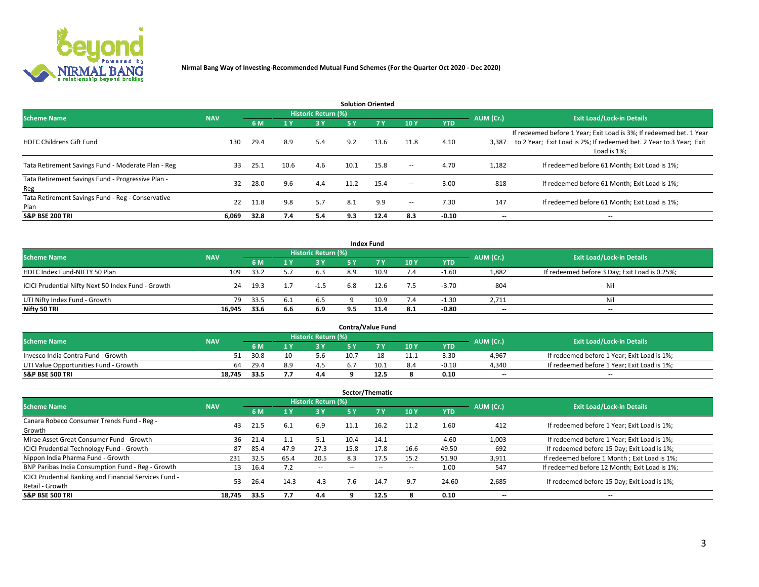

| <b>Solution Oriented</b>                                  |            |      |                       |                     |      |            |                          |            |                          |                                                                                                                                                           |  |  |
|-----------------------------------------------------------|------------|------|-----------------------|---------------------|------|------------|--------------------------|------------|--------------------------|-----------------------------------------------------------------------------------------------------------------------------------------------------------|--|--|
| <b>Scheme Name</b>                                        | <b>NAV</b> |      |                       | Historic Return (%) |      |            |                          |            | AUM (Cr.)                | <b>Exit Load/Lock-in Details</b>                                                                                                                          |  |  |
|                                                           |            | 6 M  | $\sqrt{1}$ $\sqrt{7}$ | 3 Y                 | 5 Y  | <b>7 Y</b> | 10Y                      | <b>YTD</b> |                          |                                                                                                                                                           |  |  |
| <b>HDFC Childrens Gift Fund</b>                           | 130        | 29.4 | 8.9                   | 5.4                 | 9.2  | 13.6       | 11.8                     | 4.10       | 3,387                    | If redeemed before 1 Year; Exit Load is 3%; If redeemed bet. 1 Year<br>to 2 Year; Exit Load is 2%; If redeemed bet. 2 Year to 3 Year; Exit<br>Load is 1%; |  |  |
| Tata Retirement Savings Fund - Moderate Plan - Reg        | 33         | 25.1 | 10.6                  | 4.6                 | 10.1 | 15.8       | $\overline{\phantom{a}}$ | 4.70       | 1,182                    | If redeemed before 61 Month; Exit Load is 1%;                                                                                                             |  |  |
| Tata Retirement Savings Fund - Progressive Plan -<br>Reg  | 32         | 28.0 | 9.6                   | 4.4                 | 11.2 | 15.4       | $\overline{\phantom{a}}$ | 3.00       | 818                      | If redeemed before 61 Month: Exit Load is 1%:                                                                                                             |  |  |
| Tata Retirement Savings Fund - Reg - Conservative<br>Plan | 22         | 11.8 | 9.8                   | 5.7                 | 8.1  | 9.9        | $\overline{\phantom{a}}$ | 7.30       | 147                      | If redeemed before 61 Month; Exit Load is 1%;                                                                                                             |  |  |
| <b>S&amp;P BSE 200 TRI</b>                                | 6.069      | 32.8 | 7.4                   | 5.4                 | 9.3  | 12.4       | 8.3                      | $-0.10$    | $\overline{\phantom{a}}$ | $\overline{\phantom{a}}$                                                                                                                                  |  |  |

| <b>Index Fund</b>                                  |            |      |       |                     |           |           |     |            |                                  |                                               |  |  |
|----------------------------------------------------|------------|------|-------|---------------------|-----------|-----------|-----|------------|----------------------------------|-----------------------------------------------|--|--|
| <b>Scheme Name</b>                                 | <b>NAV</b> |      |       | Historic Return (%) |           |           |     | AUM (Cr.)  | <b>Exit Load/Lock-in Details</b> |                                               |  |  |
|                                                    |            | 6 M  |       | <b>3 Y</b>          | <b>5Y</b> | <b>7Y</b> | 10Y | <b>YTD</b> |                                  |                                               |  |  |
| HDFC Index Fund-NIFTY 50 Plan                      | 109        | 33.2 |       | 6.3                 | 8.9       | 10.9      | 7.4 | $-1.60$    | 1,882                            | If redeemed before 3 Day; Exit Load is 0.25%; |  |  |
| ICICI Prudential Nifty Next 50 Index Fund - Growth | 24         | 19.3 |       | $-1.5$              | 6.8       | 12.6      | 7.5 | $-3.70$    | 804                              | Ni                                            |  |  |
| UTI Nifty Index Fund - Growth                      | 79         | 33.5 | - 6.1 | 6.5                 |           | 10.9      | 7.4 | $-1.30$    | 2,711                            | Ni                                            |  |  |
| Nifty 50 TRI                                       | 16,945     | 33.6 | 6.6   | 6.9                 | 9.5       | 11.4      | 8.1 | -0.80      | $- -$                            | $-$                                           |  |  |

| <b>Contra/Value Fund</b>              |            |      |     |                     |      |      |      |            |                          |                                             |  |  |
|---------------------------------------|------------|------|-----|---------------------|------|------|------|------------|--------------------------|---------------------------------------------|--|--|
| <b>Scheme Name</b>                    | <b>NAV</b> |      |     | Historic Return (%) |      |      |      |            | AUM (Cr.)                | <b>Exit Load/Lock-in Details</b>            |  |  |
|                                       |            | 6 M  |     | 2 V                 |      | ע ל  | 10Y  | <b>YTD</b> |                          |                                             |  |  |
| Invesco India Contra Fund - Growth    |            | 30.8 |     | 5.6                 | 10.7 |      | 11.1 | 3.30       | 4,967                    | If redeemed before 1 Year; Exit Load is 1%; |  |  |
| UTI Value Opportunities Fund - Growth | 64         | 29.4 | R Q |                     |      | 10.1 | 8.4  | $-0.10$    | 4,340                    | If redeemed before 1 Year; Exit Load is 1%; |  |  |
| <b>S&amp;P BSE 500 TRI</b>            | 18.745     | 33.5 |     | 4.4                 |      | 12.5 |      | 0.10       | $\overline{\phantom{a}}$ | $- -$                                       |  |  |

| Sector/Thematic                                        |            |      |         |                     |                          |        |                          |            |                          |                                               |  |  |  |
|--------------------------------------------------------|------------|------|---------|---------------------|--------------------------|--------|--------------------------|------------|--------------------------|-----------------------------------------------|--|--|--|
| <b>Scheme Name</b>                                     | <b>NAV</b> |      |         | Historic Return (%) |                          |        |                          |            | AUM (Cr.)                | <b>Exit Load/Lock-in Details</b>              |  |  |  |
|                                                        |            | 6 M  | 1Y      | 3 Y                 | <b>5Y</b>                | 7 Y    | 10Y                      | <b>YTD</b> |                          |                                               |  |  |  |
| Canara Robeco Consumer Trends Fund - Reg -             |            |      | 6.1     |                     |                          | 16.2   |                          | 1.60       | 412                      |                                               |  |  |  |
| Growth                                                 | 43         | 21.5 |         | 6.9                 | 11.1                     |        | 11.2                     |            |                          | If redeemed before 1 Year; Exit Load is 1%;   |  |  |  |
| Mirae Asset Great Consumer Fund - Growth               | 36         | 21.4 |         | 5.1                 | 10.4                     | 14.1   | $\!-$                    | $-4.60$    | 1,003                    | If redeemed before 1 Year; Exit Load is 1%;   |  |  |  |
| ICICI Prudential Technology Fund - Growth              | 87         | 85.4 | 47.9    | 27.3                | 15.8                     | 17.8   | 16.6                     | 49.50      | 692                      | If redeemed before 15 Day; Exit Load is 1%;   |  |  |  |
| Nippon India Pharma Fund - Growth                      | 231        | 32.5 | 65.4    | 20.5                | 8.3                      | 17.5   | 15.2                     | 51.90      | 3,911                    | If redeemed before 1 Month; Exit Load is 1%;  |  |  |  |
| BNP Paribas India Consumption Fund - Reg - Growth      | 13         | 16.4 |         | $\sim$              | $\overline{\phantom{a}}$ | $\sim$ | $\overline{\phantom{a}}$ | 1.00       | 547                      | If redeemed before 12 Month; Exit Load is 1%; |  |  |  |
| ICICI Prudential Banking and Financial Services Fund - | 53.        | 26.4 | $-14.3$ | $-4.3$              | 7.6                      | 14.7   | 9.7                      | $-24.60$   | 2,685                    | If redeemed before 15 Day; Exit Load is 1%;   |  |  |  |
| Retail - Growth                                        |            |      |         |                     |                          |        |                          |            |                          |                                               |  |  |  |
| <b>S&amp;P BSE 500 TRI</b>                             | 18.745     | 33.5 | 7.7     | 4.4                 |                          | 12.5   |                          | 0.10       | $\overline{\phantom{a}}$ | --                                            |  |  |  |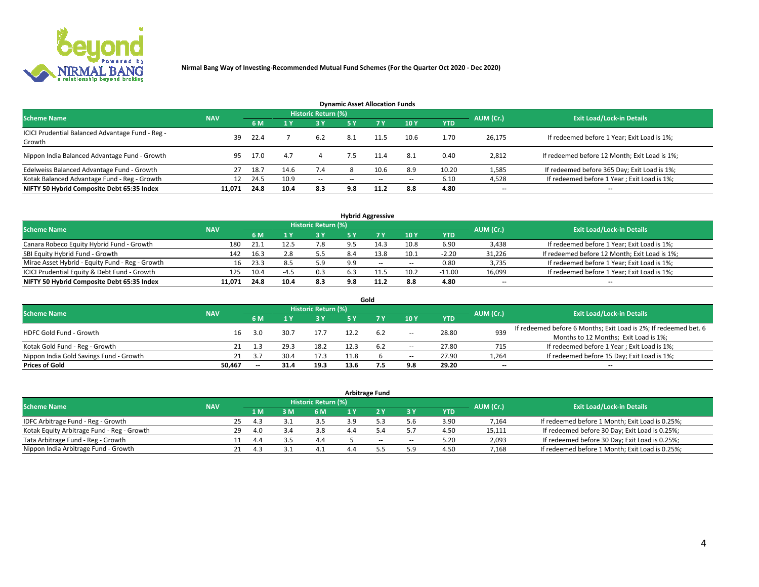

| <b>Dynamic Asset Allocation Funds</b>                      |            |      |      |                     |           |           |       |            |           |                                               |  |  |  |
|------------------------------------------------------------|------------|------|------|---------------------|-----------|-----------|-------|------------|-----------|-----------------------------------------------|--|--|--|
| <b>Scheme Name</b>                                         | <b>NAV</b> |      |      | Historic Return (%) |           |           |       |            | AUM (Cr.) | <b>Exit Load/Lock-in Details</b>              |  |  |  |
|                                                            |            | 6 M  |      | <b>3Y</b>           | <b>5Y</b> | <b>7Y</b> | 10Y   | <b>YTD</b> |           |                                               |  |  |  |
| ICICI Prudential Balanced Advantage Fund - Reg -<br>Growth | 39         | 22.4 |      | 6.2                 | 8.1       |           | 10.6  | 1.70       | 26,175    | If redeemed before 1 Year; Exit Load is 1%;   |  |  |  |
| Nippon India Balanced Advantage Fund - Growth              | 95         | 17.0 | 4.7  |                     | 7.5       | 11.4      | 8.1   | 0.40       | 2,812     | If redeemed before 12 Month; Exit Load is 1%; |  |  |  |
| Edelweiss Balanced Advantage Fund - Growth                 | 27         | 18.7 | 14.6 | 7.4                 |           | 10.6      | 8.9   | 10.20      | 1,585     | If redeemed before 365 Day; Exit Load is 1%;  |  |  |  |
| Kotak Balanced Advantage Fund - Reg - Growth               | 12         | 24.5 | 10.9 | $\sim$              | --        | $-$       | $- -$ | 6.10       | 4,528     | If redeemed before 1 Year; Exit Load is 1%;   |  |  |  |
| NIFTY 50 Hybrid Composite Debt 65:35 Index                 | 11.071     | 24.8 | 10.4 | 8.3                 | 9.8       | 11.2      | 8.8   | 4.80       | --        | --                                            |  |  |  |

| <b>Hybrid Aggressive</b>                        |            |           |                                  |     |     |       |        |            |        |                                               |  |  |  |  |
|-------------------------------------------------|------------|-----------|----------------------------------|-----|-----|-------|--------|------------|--------|-----------------------------------------------|--|--|--|--|
| <b>Scheme Name</b>                              | <b>NAV</b> | AUM (Cr.) | <b>Exit Load/Lock-in Details</b> |     |     |       |        |            |        |                                               |  |  |  |  |
|                                                 |            | 6 M       |                                  | 3 Y |     |       | 10Y    | <b>YTD</b> |        |                                               |  |  |  |  |
| Canara Robeco Equity Hybrid Fund - Growth       | 180        | 21.1      | 12.5                             | 7.8 |     | 14.3  | 10.8   | 6.90       | 3,438  | If redeemed before 1 Year; Exit Load is 1%;   |  |  |  |  |
| SBI Equity Hybrid Fund - Growth                 | 142        | 16.3      | 2.8                              | 5.5 | 8.4 | 13.8  | 10.1   | $-2.20$    | 31,226 | If redeemed before 12 Month; Exit Load is 1%; |  |  |  |  |
| Mirae Asset Hybrid - Equity Fund - Reg - Growth | 16         | 23.3      | 8.5                              | 5.9 | 9.9 | $- -$ | $\sim$ | 0.80       | 3,735  | If redeemed before 1 Year; Exit Load is 1%;   |  |  |  |  |
| ICICI Prudential Equity & Debt Fund - Growth    | 125        | 10.4      | $-4.5$                           | 0.3 | 6.3 |       | 10.2   | $-11.00$   | 16,099 | If redeemed before 1 Year; Exit Load is 1%;   |  |  |  |  |
| NIFTY 50 Hybrid Composite Debt 65:35 Index      | 11,071     | 24.8      | 10.4                             | 8.3 | 9.8 |       | 8.8    | 4.80       | $- -$  | $\overline{\phantom{a}}$                      |  |  |  |  |

|                                         |            |                                  |      |      |      | Gold |                          |            |       |                                                                  |
|-----------------------------------------|------------|----------------------------------|------|------|------|------|--------------------------|------------|-------|------------------------------------------------------------------|
| <b>Scheme Name</b>                      | AUM (Cr.)  | <b>Exit Load/Lock-in Details</b> |      |      |      |      |                          |            |       |                                                                  |
|                                         | <b>NAV</b> | 6 M                              |      | 3 Y  | 5 ٧  |      | 10Y                      | <b>YTD</b> |       |                                                                  |
| <b>HDFC Gold Fund - Growth</b>          | 16         | 3.0                              |      | 17.7 |      | 6.2  |                          | 28.80      | 939   | If redeemed before 6 Months; Exit Load is 2%; If redeemed bet. 6 |
|                                         |            |                                  |      |      |      |      | $\overline{\phantom{a}}$ |            |       | Months to 12 Months; Exit Load is 1%;                            |
| Kotak Gold Fund - Reg - Growth          |            |                                  |      | 18.2 |      | 6.2  | $\overline{\phantom{a}}$ | 27.80      | 715   | If redeemed before 1 Year; Exit Load is 1%;                      |
| Nippon India Gold Savings Fund - Growth | 21         | 3.7                              | 30.4 | 17.3 | 11.8 |      | $\overline{\phantom{a}}$ | 27.90      | 1,264 | If redeemed before 15 Day; Exit Load is 1%;                      |
| <b>Prices of Gold</b>                   | 50.467     | $-$                              | 31.4 | 19.3 | 13.6 |      | 9.8                      | 29.20      | --    | $\overline{\phantom{a}}$                                         |

| <b>Arbitrage Fund</b>                      |            |           |                                  |  |     |     |       |                          |            |        |                                                 |  |  |  |
|--------------------------------------------|------------|-----------|----------------------------------|--|-----|-----|-------|--------------------------|------------|--------|-------------------------------------------------|--|--|--|
| <b>Scheme Name</b>                         | <b>NAV</b> | AUM (Cr.) | <b>Exit Load/Lock-in Details</b> |  |     |     |       |                          |            |        |                                                 |  |  |  |
|                                            |            |           | 1 M                              |  | 6 M | 1 Y |       | 3 Y                      | <b>YTD</b> |        |                                                 |  |  |  |
| IDFC Arbitrage Fund - Reg - Growth         |            | 25        | 43                               |  |     |     |       |                          | 3.90       | 7,164  | If redeemed before 1 Month; Exit Load is 0.25%; |  |  |  |
| Kotak Equity Arbitrage Fund - Reg - Growth |            | 29        | 4.0                              |  | 3.8 |     |       |                          | 4.50       | 15,111 | If redeemed before 30 Day; Exit Load is 0.25%;  |  |  |  |
| Tata Arbitrage Fund - Reg - Growth         |            |           | 4.4                              |  | 4.4 |     | $- -$ | $\overline{\phantom{a}}$ | 5.20       | 2,093  | If redeemed before 30 Day; Exit Load is 0.25%;  |  |  |  |
| Nippon India Arbitrage Fund - Growth       |            | 21        |                                  |  |     |     |       |                          | 4.50       | 7,168  | If redeemed before 1 Month; Exit Load is 0.25%; |  |  |  |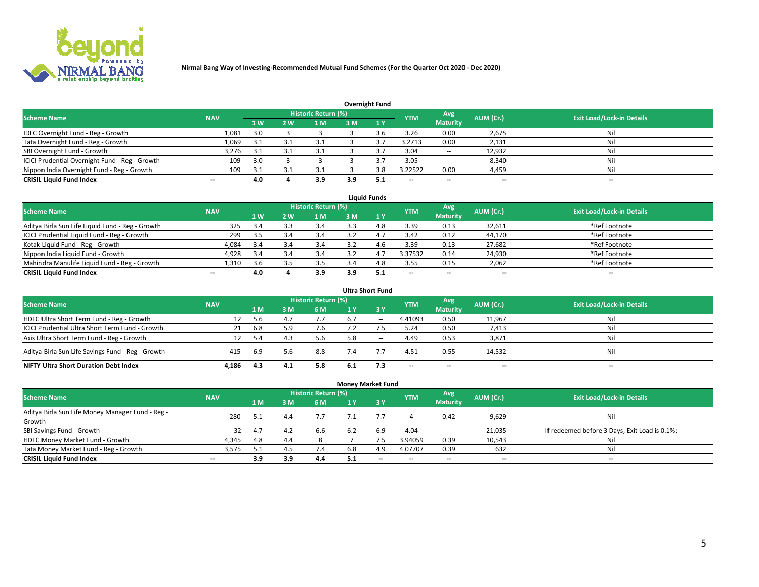

| <b>Overnight Fund</b>                          |            |     |     |                            |     |               |            |                          |           |                                  |  |  |  |
|------------------------------------------------|------------|-----|-----|----------------------------|-----|---------------|------------|--------------------------|-----------|----------------------------------|--|--|--|
| <b>Scheme Name</b>                             | <b>NAV</b> |     |     | <b>Historic Return (%)</b> |     |               | <b>YTM</b> | Avg                      | AUM (Cr.) | <b>Exit Load/Lock-in Details</b> |  |  |  |
|                                                |            | 1 W | 2 W | 1 M                        | 3M  |               |            | <b>Maturity</b>          |           |                                  |  |  |  |
| IDFC Overnight Fund - Reg - Growth             | 1,081      | 3.0 |     |                            |     | $3.6^{\circ}$ | 3.26       | 0.00                     | 2,675     | Nil                              |  |  |  |
| Tata Overnight Fund - Reg - Growth             | 1,069      | 3.1 |     | 3.1                        |     |               | 3.2713     | 0.00                     | 2,131     | Nil                              |  |  |  |
| SBI Overnight Fund - Growth                    | 3,276      | 3.1 |     | 3.1                        |     |               | 3.04       | $\hspace{0.05cm} \ldots$ | 12,932    | Nil                              |  |  |  |
| ICICI Prudential Overnight Fund - Reg - Growth | 109        | 3.0 |     |                            |     |               | 3.05       | $\sim$                   | 8,340     | Nil                              |  |  |  |
| Nippon India Overnight Fund - Reg - Growth     | 109        |     |     |                            |     | េន            | 3.22522    | 0.00                     | 4,459     | Nil                              |  |  |  |
| <b>CRISIL Liquid Fund Index</b>                | $- -$      | 4.0 |     | 3.9                        | 3.9 |               | $- -$      | $\overline{\phantom{a}}$ | $- -$     | --                               |  |  |  |

| <b>Liquid Funds</b>                              |                          |           |     |                            |      |              |                          |                          |                          |                                  |  |  |  |  |
|--------------------------------------------------|--------------------------|-----------|-----|----------------------------|------|--------------|--------------------------|--------------------------|--------------------------|----------------------------------|--|--|--|--|
| <b>Scheme Name</b>                               | <b>NAV</b>               |           |     | <b>Historic Return (%)</b> |      |              | <b>YTM</b>               | Avg                      | AUM (Cr.)                | <b>Exit Load/Lock-in Details</b> |  |  |  |  |
|                                                  |                          | <b>1W</b> | 2 W | 1 M                        | 3 M. | $\sqrt{1}$ Y |                          | <b>Maturity</b>          |                          |                                  |  |  |  |  |
| Aditya Birla Sun Life Liquid Fund - Reg - Growth | 325                      | 3.4       | 3.3 | 3.4                        |      | 4.8          | 3.39                     | 0.13                     | 32,611                   | *Ref Footnote                    |  |  |  |  |
| ICICI Prudential Liquid Fund - Reg - Growth      | 299                      | 3.5       | 3.4 | 3.4                        | 3.2  | 4.7          | 3.42                     | 0.12                     | 44,170                   | *Ref Footnote                    |  |  |  |  |
| Kotak Liquid Fund - Reg - Growth                 | 4,084                    | 3.4       | 3.4 | 3.4                        | 27   | 4.6          | 3.39                     | 0.13                     | 27,682                   | *Ref Footnote                    |  |  |  |  |
| Nippon India Liquid Fund - Growth                | 4,928                    | 3.4       | 3.4 | 3.4                        |      | 4.           | 3.37532                  | 0.14                     | 24,930                   | *Ref Footnote                    |  |  |  |  |
| Mahindra Manulife Liquid Fund - Reg - Growth     | 1,310                    | 3.6       |     | 3.5                        | 3.4  | 4.8          | 3.55                     | 0.15                     | 2,062                    | *Ref Footnote                    |  |  |  |  |
| <b>CRISIL Liquid Fund Index</b>                  | $\overline{\phantom{a}}$ | 4.0       |     | 3.9                        | 3.9  | 5.1          | $\overline{\phantom{a}}$ | $\overline{\phantom{a}}$ | $\overline{\phantom{a}}$ | $-$                              |  |  |  |  |

|                                                   |            |      |     |                     |     | <b>Ultra Short Fund</b>                        |                          |                          |           |                                  |
|---------------------------------------------------|------------|------|-----|---------------------|-----|------------------------------------------------|--------------------------|--------------------------|-----------|----------------------------------|
| <b>Scheme Name</b>                                | <b>NAV</b> |      |     | Historic Return (%) |     |                                                | <b>YTM</b>               | Avg                      | AUM (Cr.) | <b>Exit Load/Lock-in Details</b> |
|                                                   |            | 1 M  | sм  | 6 M                 | 1 Y | $\sqrt{3}$ Y                                   |                          | <b>Maturity</b>          |           |                                  |
| HDFC Ultra Short Term Fund - Reg - Growth         | 12         | 5.6  |     | 7.7                 | 6.7 | $\hspace{0.1mm}-\hspace{0.1mm}-\hspace{0.1mm}$ | 4.41093                  | 0.50                     | 11,967    | Nil                              |
| ICICI Prudential Ultra Short Term Fund - Growth   | 21         | 6.8  |     | 7.6                 |     |                                                | 5.24                     | 0.50                     | 7,413     | Nil                              |
| Axis Ultra Short Term Fund - Reg - Growth         | 12         | -5.4 | 4.3 | 5.6                 | 5.8 | $- -$                                          | 4.49                     | 0.53                     | 3,871     | Nil                              |
| Aditya Birla Sun Life Savings Fund - Reg - Growth | 415        | 6.9  | 5.6 | 8.8                 | 7.4 |                                                | 4.51                     | 0.55                     | 14,532    | Nil                              |
| <b>NIFTY Ultra Short Duration Debt Index</b>      | 4.186      | 4.3  | 4.1 | 5.8                 | 6.1 | 7.3                                            | $\overline{\phantom{a}}$ | $\overline{\phantom{a}}$ | $- -$     | $-$                              |

|                                                  |                          |     |     |                            | <b>Money Market Fund</b> |                               |            |                          |                          |                                               |
|--------------------------------------------------|--------------------------|-----|-----|----------------------------|--------------------------|-------------------------------|------------|--------------------------|--------------------------|-----------------------------------------------|
| <b>Scheme Name</b>                               | <b>NAV</b>               |     |     | <b>Historic Return (%)</b> |                          |                               | <b>YTM</b> | Avg                      | AUM (Cr.)                | <b>Exit Load/Lock-in Details</b>              |
|                                                  |                          | 1 M | ١M  | 6 M                        | 1 Y                      | $\overline{3}$ $\overline{V}$ |            | <b>Maturity</b>          |                          |                                               |
| Aditya Birla Sun Life Money Manager Fund - Reg - | 280                      | 5.1 | 4.4 | 7.7                        |                          |                               |            | 0.42                     | 9,629                    | Nil                                           |
| Growth                                           |                          |     |     |                            |                          |                               |            |                          |                          |                                               |
| SBI Savings Fund - Growth                        | 32                       | 4.7 | 4.2 | 6.6                        | 6.2                      | 6.9                           | 4.04       | $\sim$                   | 21,035                   | If redeemed before 3 Days; Exit Load is 0.1%; |
| HDFC Money Market Fund - Growth                  | 4,345                    | 4.8 | 4.4 |                            |                          |                               | 3.94059    | 0.39                     | 10,543                   | Nil                                           |
| Tata Money Market Fund - Reg - Growth            | 3,575                    | 5.1 | 4.5 | 7.4                        | 6.8                      | 4.9                           | 4.07707    | 0.39                     | 632                      | Nil                                           |
| <b>CRISIL Liquid Fund Index</b>                  | $\overline{\phantom{a}}$ | 3.9 | 3.9 | 4.4                        | 5.1                      | $\overline{\phantom{a}}$      | --         | $\overline{\phantom{a}}$ | $\overline{\phantom{a}}$ | $\overline{\phantom{a}}$                      |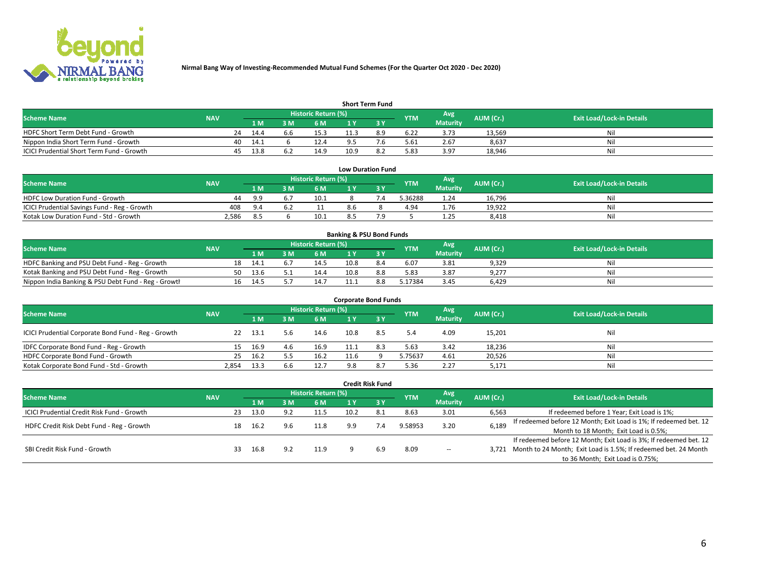

| <b>Short Term Fund</b>                    |            |    |      |     |                            |      |     |            |                 |           |                                  |  |  |  |
|-------------------------------------------|------------|----|------|-----|----------------------------|------|-----|------------|-----------------|-----------|----------------------------------|--|--|--|
| <b>Scheme Name</b>                        | <b>NAV</b> |    |      |     | <b>Historic Return (%)</b> |      |     | <b>YTM</b> | Avg             | AUM (Cr.) | <b>Exit Load/Lock-in Details</b> |  |  |  |
|                                           |            |    | 1 M. | 3 M | 6 M                        | 1 V  |     |            | <b>Maturity</b> |           |                                  |  |  |  |
| HDFC Short Term Debt Fund - Growth        |            | 24 | 14.4 | b.b | 15.3                       |      | 8.9 | 6.22       | 3.73            | 13.569    | Nil                              |  |  |  |
| Nippon India Short Term Fund - Growth     |            | 40 | 14.1 |     | 12.4                       |      |     | 5.61       | 2.67            | 8,637     | Nil                              |  |  |  |
| ICICI Prudential Short Term Fund - Growth |            | 45 | 13.8 |     | 14.9                       | 10.9 |     | 5.83       | 3.97            | 18.946    | Nil                              |  |  |  |

| <b>Low Duration Fund</b>                     |            |             |  |                     |     |  |            |                 |           |                                  |  |  |  |  |
|----------------------------------------------|------------|-------------|--|---------------------|-----|--|------------|-----------------|-----------|----------------------------------|--|--|--|--|
| <b>Scheme Name</b>                           | <b>NAV</b> |             |  | Historic Return (%) |     |  | <b>YTM</b> | Avg             | AUM (Cr.) | <b>Exit Load/Lock-in Details</b> |  |  |  |  |
|                                              |            | 1 M         |  | '6 M                |     |  |            | <b>Maturity</b> |           |                                  |  |  |  |  |
| HDFC Low Duration Fund - Growth              | 44         | -9.9        |  | 10.1                |     |  | 3.36288    | 1.24            | 16.796    | Nil                              |  |  |  |  |
| ICICI Prudential Savings Fund - Reg - Growth | 408        | $Q \Lambda$ |  |                     | 8.6 |  | 4.94       | 1.76            | 19,922    | Nil                              |  |  |  |  |
| Kotak Low Duration Fund - Std - Growth       | 2,586      | 8.5         |  | 10.1                |     |  |            | 1.25            | 8,418     | Nil                              |  |  |  |  |

| <b>Banking &amp; PSU Bond Funds</b>                 |            |    |      |      |                     |      |     |            |                 |           |                                  |  |  |  |
|-----------------------------------------------------|------------|----|------|------|---------------------|------|-----|------------|-----------------|-----------|----------------------------------|--|--|--|
| <b>Scheme Name</b>                                  | <b>NAV</b> |    |      |      | Historic Return (%) |      |     | <b>YTM</b> | Avg             | AUM (Cr.) | <b>Exit Load/Lock-in Details</b> |  |  |  |
|                                                     |            |    | 1 M  | NMN. | 6 M                 |      |     |            | <b>Maturity</b> |           |                                  |  |  |  |
| HDFC Banking and PSU Debt Fund - Reg - Growth       |            | 18 | 14.1 |      | 14.5                | 10.8 |     | 6.07       | 3.81            | 9,329     | Nil                              |  |  |  |
| Kotak Banking and PSU Debt Fund - Reg - Growth      |            | 50 | 13.6 |      | 14.4                | 10.8 | 8.8 | 5.83       | 3.87            | 9,277     | Nil                              |  |  |  |
| Nippon India Banking & PSU Debt Fund - Reg - Growth |            | 16 | 14.5 |      | 14.7                |      | 8.8 | 5.17384    | 3.45            | 6.429     | Nil                              |  |  |  |

| <b>Corporate Bond Funds</b>                         |            |      |     |      |      |     |            |                        |           |                                  |  |
|-----------------------------------------------------|------------|------|-----|------|------|-----|------------|------------------------|-----------|----------------------------------|--|
| <b>Scheme Name</b>                                  | <b>NAV</b> |      |     |      |      |     | <b>YTM</b> | Avg<br><b>Maturity</b> | AUM (Cr.) | <b>Exit Load/Lock-in Details</b> |  |
|                                                     |            | 1 M  | ያ M | 6 M  | 1 Y  |     |            |                        |           |                                  |  |
| ICICI Prudential Corporate Bond Fund - Reg - Growth | 22         | 13.1 | 5.6 | 14.6 | 10.8 | 8.5 | 5.4        | 4.09                   | 15,201    | Nil                              |  |
| IDFC Corporate Bond Fund - Reg - Growth             | 15         | 16.9 | 4.6 | 16.9 |      | 8.3 | 5.63       | 3.42                   | 18,236    | Nil                              |  |
| HDFC Corporate Bond Fund - Growth                   | 25         | 16.2 |     | 16.2 | 11.6 |     | 5.75637    | 4.61                   | 20,526    | Nil                              |  |
| Kotak Corporate Bond Fund - Std - Growth            | 2.854      | 13.3 | 6.6 | 12.7 | 9.8  | 8.7 | 5.36       | 2.27                   | 5,171     | Nil                              |  |

|                                                   |            |    |      |     |                            |      | <b>Credit Risk Fund</b> |            |                          |           |                                                                       |
|---------------------------------------------------|------------|----|------|-----|----------------------------|------|-------------------------|------------|--------------------------|-----------|-----------------------------------------------------------------------|
| <b>Scheme Name</b>                                | <b>NAV</b> |    |      |     | <b>Historic Return (%)</b> |      |                         | <b>YTM</b> | Avg                      | AUM (Cr.) | <b>Exit Load/Lock-in Details</b>                                      |
|                                                   |            |    | 1 M  | 3M  | 6 M                        |      | $'$ 3 $\overline{Y}$    |            | <b>Maturity</b>          |           |                                                                       |
| <b>ICICI Prudential Credit Risk Fund - Growth</b> |            | 23 | 13.0 | 9.2 | 11.5                       | 10.2 | -8.1                    | 8.63       | 3.01                     | 6,563     | If redeemed before 1 Year; Exit Load is 1%;                           |
| HDFC Credit Risk Debt Fund - Reg - Growth         |            |    | 16.2 | 9.6 | 11.8                       | 9.9  | 7.4                     | 9.58953    | 3.20                     | 6,189     | If redeemed before 12 Month; Exit Load is 1%; If redeemed bet. 12     |
|                                                   |            | 18 |      |     |                            |      |                         |            |                          |           | Month to 18 Month; Exit Load is 0.5%;                                 |
| SBI Credit Risk Fund - Growth                     |            |    |      |     |                            |      |                         |            |                          |           | If redeemed before 12 Month; Exit Load is 3%; If redeemed bet. 12     |
|                                                   |            | 33 | 16.8 | 9.2 | 11.9                       |      | 6.9                     | 8.09       | $\overline{\phantom{a}}$ |           | 3,721 Month to 24 Month; Exit Load is 1.5%; If redeemed bet. 24 Month |
|                                                   |            |    |      |     |                            |      |                         |            |                          |           | to 36 Month; Exit Load is 0.75%;                                      |